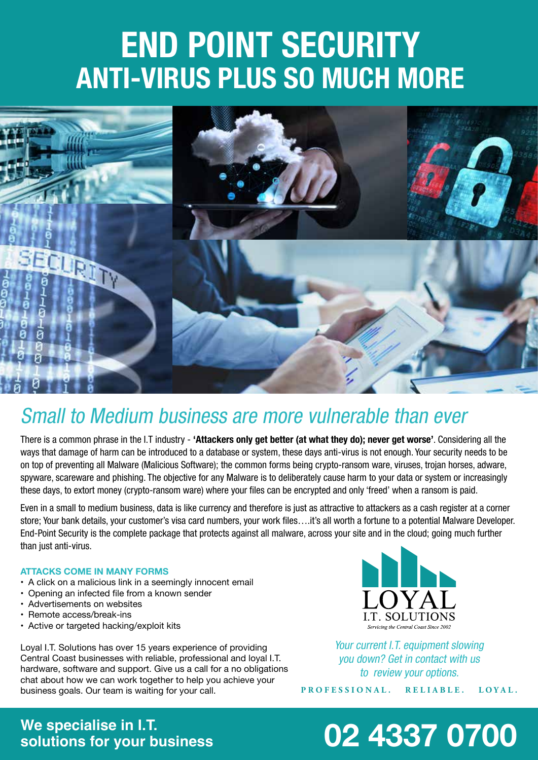# **END POINT SECURITY ANTI-VIRUS PLUS SO MUCH MORE**



#### *Small to Medium business are more vulnerable than ever*

*There is a common phrase in the I.T industry -* **'Attackers only get better (at what they do); never get worse'***. Considering all the ways that damage of harm can be introduced to a database or system, these days anti-virus is not enough. Your security needs to be on top of preventing all Malware (Malicious Software); the common forms being crypto-ransom ware, viruses, trojan horses, adware, spyware, scareware and phishing. The objective for any Malware is to deliberately cause harm to your data or system or increasingly*  these days, to extort money (crypto-ransom ware) where your files can be encrypted and only 'freed' when a ransom is paid.

*Even in a small to medium business, data is like currency and therefore is just as attractive to attackers as a cash register at a corner*  store; Your bank details, your customer's visa card numbers, your work files….it's all worth a fortune to a potential Malware Developer. *End-Point Security is the complete package that protects against all malware, across your site and in the cloud; going much further than just anti-virus.*

#### **ATTACKS COME IN MANY FORMS**

- A click on a malicious link in a seemingly innocent email
- Opening an infected file from a known sender
- • Advertisements on websites
- • Remote access/break-ins
- Active or targeted hacking/exploit kits

Loyal I.T. Solutions has over 15 years experience of providing Central Coast businesses with reliable, professional and loyal I.T. hardware, software and support. Give us a call for a no obligations chat about how we can work together to help you achieve your business goals. Our team is waiting for your call.



*Your current I.T. equipment slowing you down? Get in contact with us to review your options.*

**PROFESSIONAL. RELIABLE. LOYAL.**

### **We specialise in I.T.**

### **solutions for your business 02 4337 0700**